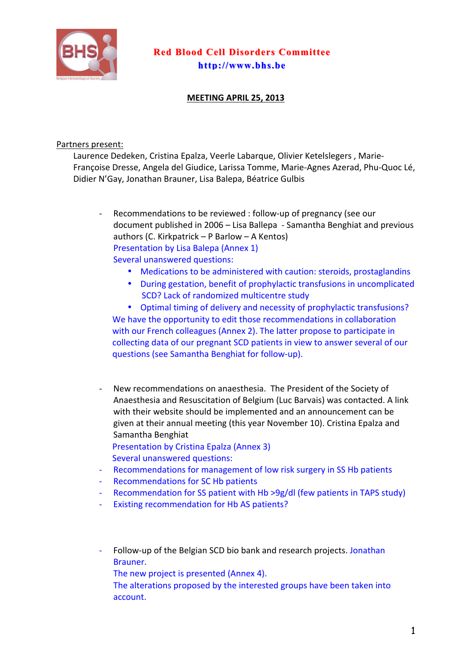

## **Red Blood Cell Disorders Committee Red Blood Cell Disorders Committee http://www.bhs.be http://www.bhs.be**

## **MEETING APRIL 25, 2013**

## Partners present:

Laurence Dedeken, Cristina Epalza, Veerle Labarque, Olivier Ketelslegers, Marie-Françoise Dresse, Angela del Giudice, Larissa Tomme, Marie-Agnes Azerad, Phu-Quoc Lé, Didier N'Gay, Jonathan Brauner, Lisa Balepa, Béatrice Gulbis

Recommendations to be reviewed : follow-up of pregnancy (see our document published in 2006 – Lisa Ballepa - Samantha Benghiat and previous authors (C. Kirkpatrick – P Barlow – A Kentos) Presentation by Lisa Balepa (Annex 1) Several unanswered questions:

- Medications to be administered with caution: steroids, prostaglandins
- During gestation, benefit of prophylactic transfusions in uncomplicated SCD? Lack of randomized multicentre study

• Optimal timing of delivery and necessity of prophylactic transfusions? We have the opportunity to edit those recommendations in collaboration with our French colleagues (Annex 2). The latter propose to participate in collecting data of our pregnant SCD patients in view to answer several of our questions (see Samantha Benghiat for follow-up).

- New recommendations on anaesthesia. The President of the Society of Anaesthesia and Resuscitation of Belgium (Luc Barvais) was contacted. A link with their website should be implemented and an announcement can be given at their annual meeting (this year November 10). Cristina Epalza and Samantha Benghiat Presentation by Cristina Epalza (Annex 3)
- Several unanswered questions:
- Recommendations for management of low risk surgery in SS Hb patients
- Recommendations for SC Hb patients
- Recommendation for SS patient with Hb >9g/dl (few patients in TAPS study)
- Existing recommendation for Hb AS patients?
- Follow-up of the Belgian SCD bio bank and research projects. Jonathan Brauner.
	- The new project is presented (Annex 4).
	- The alterations proposed by the interested groups have been taken into account.